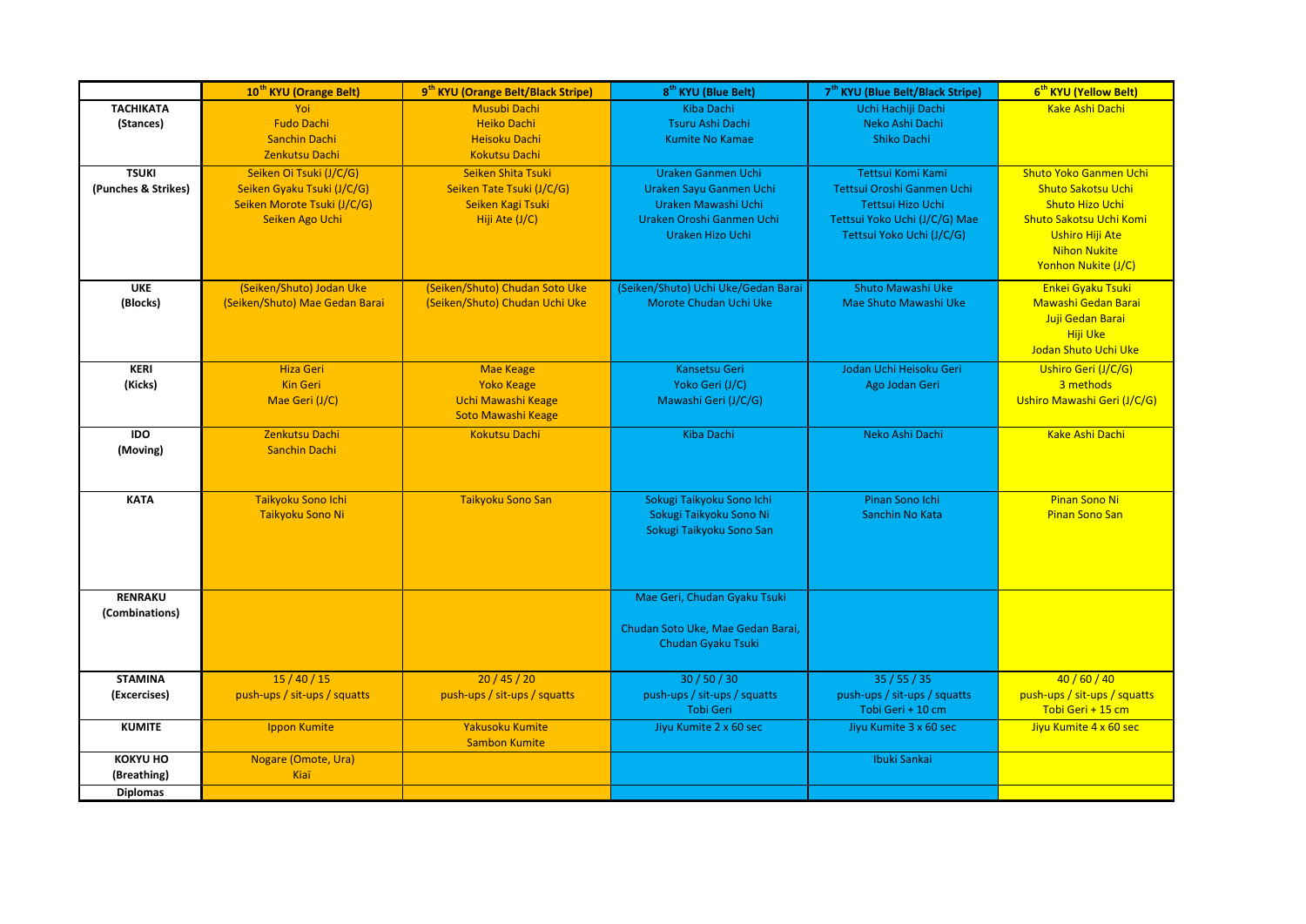|                                                   | 10 <sup>th</sup> KYU (Orange Belt)                                                                      | 9 <sup>th</sup> KYU (Orange Belt/Black Stripe)                                            | 8 <sup>th</sup> KYU (Blue Belt)                                                                                       | 7 <sup>th</sup> KYU (Blue Belt/Black Stripe)                                                                                       | 6 <sup>th</sup> KYU (Yellow Belt)                                                                                                                                                |
|---------------------------------------------------|---------------------------------------------------------------------------------------------------------|-------------------------------------------------------------------------------------------|-----------------------------------------------------------------------------------------------------------------------|------------------------------------------------------------------------------------------------------------------------------------|----------------------------------------------------------------------------------------------------------------------------------------------------------------------------------|
| <b>TACHIKATA</b><br>(Stances)                     | Yoi<br><b>Fudo Dachi</b><br><b>Sanchin Dachi</b><br>Zenkutsu Dachi                                      | <b>Musubi Dachi</b><br><b>Heiko Dachi</b><br><b>Heisoku Dachi</b><br><b>Kokutsu Dachi</b> | Kiba Dachi<br>Tsuru Ashi Dachi<br><b>Kumite No Kamae</b>                                                              | Uchi Hachiji Dachi<br>Neko Ashi Dachi<br><b>Shiko Dachi</b>                                                                        | <b>Kake Ashi Dachi</b>                                                                                                                                                           |
| <b>TSUKI</b><br>(Punches & Strikes)               | Seiken Oi Tsuki (J/C/G)<br>Seiken Gyaku Tsuki (J/C/G)<br>Seiken Morote Tsuki (J/C/G)<br>Seiken Ago Uchi | Seiken Shita Tsuki<br>Seiken Tate Tsuki (J/C/G)<br>Seiken Kagi Tsuki<br>Hiji Ate (J/C)    | Uraken Ganmen Uchi<br>Uraken Sayu Ganmen Uchi<br>Uraken Mawashi Uchi<br>Uraken Oroshi Ganmen Uchi<br>Uraken Hizo Uchi | Tettsui Komi Kami<br>Tettsui Oroshi Ganmen Uchi<br>Tettsui Hizo Uchi<br>Tettsui Yoko Uchi (J/C/G) Mae<br>Tettsui Yoko Uchi (J/C/G) | <b>Shuto Yoko Ganmen Uchi</b><br><b>Shuto Sakotsu Uchi</b><br><b>Shuto Hizo Uchi</b><br>Shuto Sakotsu Uchi Komi<br>Ushiro Hiji Ate<br><b>Nihon Nukite</b><br>Yonhon Nukite (J/C) |
| <b>UKE</b><br>(Blocks)                            | (Seiken/Shuto) Jodan Uke<br>(Seiken/Shuto) Mae Gedan Barai                                              | (Seiken/Shuto) Chudan Soto Uke<br>(Seiken/Shuto) Chudan Uchi Uke                          | (Seiken/Shuto) Uchi Uke/Gedan Barai<br>Morote Chudan Uchi Uke                                                         | Shuto Mawashi Uke<br>Mae Shuto Mawashi Uke                                                                                         | Enkei Gyaku Tsuki<br><b>Mawashi Gedan Barai</b><br>Juji Gedan Barai<br>Hiji Uke<br>Jodan Shuto Uchi Uke                                                                          |
| <b>KERI</b><br>(Kicks)                            | <b>Hiza Geri</b><br><b>Kin Geri</b><br>Mae Geri (J/C)                                                   | <b>Mae Keage</b><br><b>Yoko Keage</b><br>Uchi Mawashi Keage<br><b>Soto Mawashi Keage</b>  | <b>Kansetsu Geri</b><br>Yoko Geri (J/C)<br>Mawashi Geri (J/C/G)                                                       | Jodan Uchi Heisoku Geri<br>Ago Jodan Geri                                                                                          | Ushiro Geri (J/C/G)<br>3 methods<br>Ushiro Mawashi Geri (J/C/G)                                                                                                                  |
| <b>IDO</b><br>(Moving)                            | Zenkutsu Dachi<br><b>Sanchin Dachi</b>                                                                  | <b>Kokutsu Dachi</b>                                                                      | <b>Kiba Dachi</b>                                                                                                     | Neko Ashi Dachi                                                                                                                    | <b>Kake Ashi Dachi</b>                                                                                                                                                           |
| <b>KATA</b>                                       | Taikyoku Sono Ichi<br>Taikyoku Sono Ni                                                                  | Taikyoku Sono San                                                                         | Sokugi Taikyoku Sono Ichi<br>Sokugi Taikyoku Sono Ni<br>Sokugi Taikyoku Sono San                                      | Pinan Sono Ichi<br>Sanchin No Kata                                                                                                 | <b>Pinan Sono Ni</b><br><b>Pinan Sono San</b>                                                                                                                                    |
| <b>RENRAKU</b><br>(Combinations)                  |                                                                                                         |                                                                                           | Mae Geri, Chudan Gyaku Tsuki<br>Chudan Soto Uke, Mae Gedan Barai,<br>Chudan Gyaku Tsuki                               |                                                                                                                                    |                                                                                                                                                                                  |
| <b>STAMINA</b><br>(Excercises)                    | 15/40/15<br>push-ups / sit-ups / squatts                                                                | 20/45/20<br>push-ups / sit-ups / squatts                                                  | 30/50/30<br>push-ups / sit-ups / squatts<br><b>Tobi Geri</b>                                                          | 35/55/35<br>push-ups / sit-ups / squatts<br>Tobi Geri + 10 cm                                                                      | 40/60/40<br>push-ups / sit-ups / squatts<br>Tobi Geri + 15 cm                                                                                                                    |
| <b>KUMITE</b>                                     | <b>Ippon Kumite</b>                                                                                     | <b>Yakusoku Kumite</b><br><b>Sambon Kumite</b>                                            | Jiyu Kumite 2 x 60 sec                                                                                                | Jiyu Kumite 3 x 60 sec                                                                                                             | Jiyu Kumite 4 x 60 sec                                                                                                                                                           |
| <b>KOKYU HO</b><br>(Breathing)<br><b>Diplomas</b> | Nogare (Omote, Ura)<br>Kiaï                                                                             |                                                                                           |                                                                                                                       | <b>Ibuki Sankai</b>                                                                                                                |                                                                                                                                                                                  |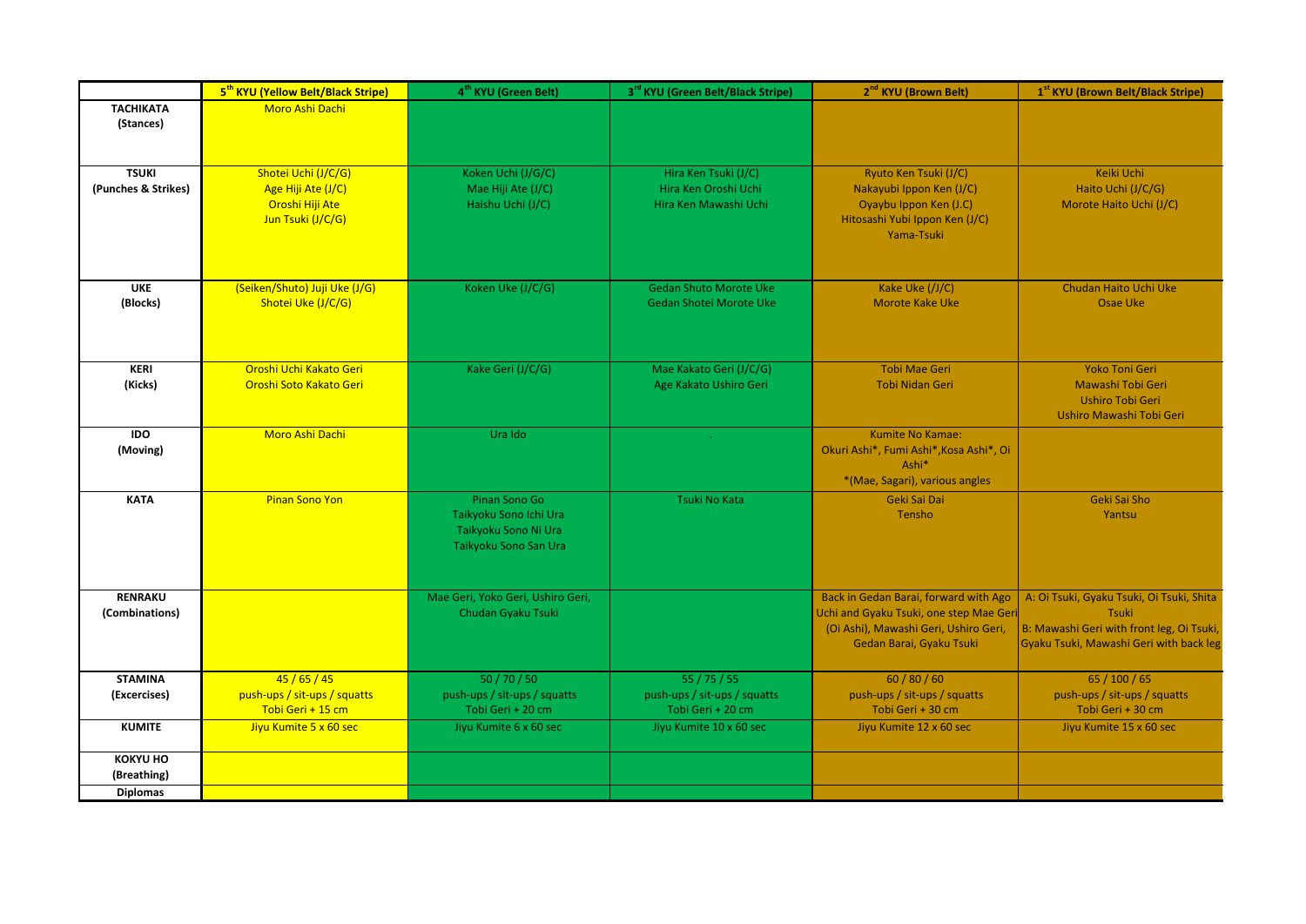|                     | 5 <sup>th</sup> KYU (Yellow Belt/Black Stripe) | 4 <sup>th</sup> KYU (Green Belt)               | 3 <sup>rd</sup> KYU (Green Belt/Black Stripe) | 2 <sup>nd</sup> KYU (Brown Belt)        | 1 <sup>st</sup> KYU (Brown Belt/Black Stripe) |
|---------------------|------------------------------------------------|------------------------------------------------|-----------------------------------------------|-----------------------------------------|-----------------------------------------------|
| <b>ТАСНІКАТА</b>    | <b>Moro Ashi Dachi</b>                         |                                                |                                               |                                         |                                               |
| (Stances)           |                                                |                                                |                                               |                                         |                                               |
|                     |                                                |                                                |                                               |                                         |                                               |
| <b>TSUKI</b>        | Shotei Uchi (J/C/G)                            | Koken Uchi (J/G/C)                             | Hira Ken Tsuki (J/C)                          | Ryuto Ken Tsuki (J/C)                   | Keiki Uchi                                    |
| (Punches & Strikes) | Age Hiji Ate (J/C)                             | Mae Hiji Ate (J/C)                             | Hira Ken Oroshi Uchi                          | Nakayubi Ippon Ken (J/C)                | Haito Uchi (J/C/G)                            |
|                     | Oroshi Hiji Ate                                | Haishu Uchi (J/C)                              | Hira Ken Mawashi Uchi                         | Oyaybu Ippon Ken (J.C)                  | Morote Haito Uchi (J/C)                       |
|                     | Jun Tsuki (J/C/G)                              |                                                |                                               | Hitosashi Yubi Ippon Ken (J/C)          |                                               |
|                     |                                                |                                                |                                               | Yama-Tsuki                              |                                               |
|                     |                                                |                                                |                                               |                                         |                                               |
| <b>UKE</b>          | (Seiken/Shuto) Juji Uke (J/G)                  | Koken Uke (J/C/G)                              | <b>Gedan Shuto Morote Uke</b>                 | Kake Uke (/J/C)                         | Chudan Haito Uchi Uke                         |
| (Blocks)            | Shotei Uke (J/C/G)                             |                                                | Gedan Shotei Morote Uke                       | <b>Morote Kake Uke</b>                  | Osae Uke                                      |
|                     |                                                |                                                |                                               |                                         |                                               |
|                     |                                                |                                                |                                               |                                         |                                               |
|                     |                                                |                                                |                                               |                                         |                                               |
| <b>KERI</b>         | Oroshi Uchi Kakato Geri                        | Kake Geri (J/C/G)                              | Mae Kakato Geri (J/C/G)                       | <b>Tobi Mae Geri</b>                    | <b>Yoko Toni Geri</b>                         |
| (Kicks)             | Oroshi Soto Kakato Geri                        |                                                | Age Kakato Ushiro Geri                        | <b>Tobi Nidan Geri</b>                  | Mawashi Tobi Geri<br>Ushiro Tobi Geri         |
|                     |                                                |                                                |                                               |                                         | Ushiro Mawashi Tobi Geri                      |
| <b>IDO</b>          | Moro Ashi Dachi                                | Ura Ido                                        |                                               | <b>Kumite No Kamae:</b>                 |                                               |
| (Moving)            |                                                |                                                |                                               | Okuri Ashi*, Fumi Ashi*, Kosa Ashi*, Oi |                                               |
|                     |                                                |                                                |                                               | Ashi*                                   |                                               |
|                     |                                                |                                                |                                               | *(Mae, Sagari), various angles          |                                               |
| <b>KATA</b>         | <b>Pinan Sono Yon</b>                          | Pinan Sono Go                                  | Tsuki No Kata                                 | Geki Sai Dai                            | Geki Sai Sho                                  |
|                     |                                                | Taikyoku Sono Ichi Ura<br>Taikyoku Sono Ni Ura |                                               | <b>Tensho</b>                           | Yantsu                                        |
|                     |                                                | Taikyoku Sono San Ura                          |                                               |                                         |                                               |
|                     |                                                |                                                |                                               |                                         |                                               |
|                     |                                                |                                                |                                               |                                         |                                               |
| <b>RENRAKU</b>      |                                                | Mae Geri, Yoko Geri, Ushiro Geri,              |                                               | Back in Gedan Barai, forward with Ago   | A: Oi Tsuki, Gyaku Tsuki, Oi Tsuki, Shita     |
| (Combinations)      |                                                | Chudan Gyaku Tsuki                             |                                               | Uchi and Gyaku Tsuki, one step Mae Geri | <b>Tsuki</b>                                  |
|                     |                                                |                                                |                                               | (Oi Ashi), Mawashi Geri, Ushiro Geri,   | B: Mawashi Geri with front leg, Oi Tsuki,     |
|                     |                                                |                                                |                                               | Gedan Barai, Gyaku Tsuki                | Gyaku Tsuki, Mawashi Geri with back leg       |
| <b>STAMINA</b>      | 45/65/45                                       | 50 / 70 / 50                                   | 55 / 75 / 55                                  | 60 / 80 / 60                            | 65 / 100 / 65                                 |
| (Excercises)        | push-ups / sit-ups / squatts                   | push-ups / sit-ups / squatts                   | push-ups / sit-ups / squatts                  | push-ups / sit-ups / squatts            | push-ups / sit-ups / squatts                  |
|                     | Tobi Geri + 15 cm                              | Tobi Geri + 20 cm                              | Tobi Geri + 20 cm                             | Tobi Geri + 30 cm                       | Tobi Geri + 30 cm                             |
| <b>KUMITE</b>       | Jiyu Kumite 5 x 60 sec                         | Jiyu Kumite 6 x 60 sec                         | Jiyu Kumite 10 x 60 sec                       | Jiyu Kumite 12 x 60 sec                 | Jiyu Kumite 15 x 60 sec                       |
| <b>KOKYU HO</b>     |                                                |                                                |                                               |                                         |                                               |
| (Breathing)         |                                                |                                                |                                               |                                         |                                               |
| <b>Diplomas</b>     |                                                |                                                |                                               |                                         |                                               |